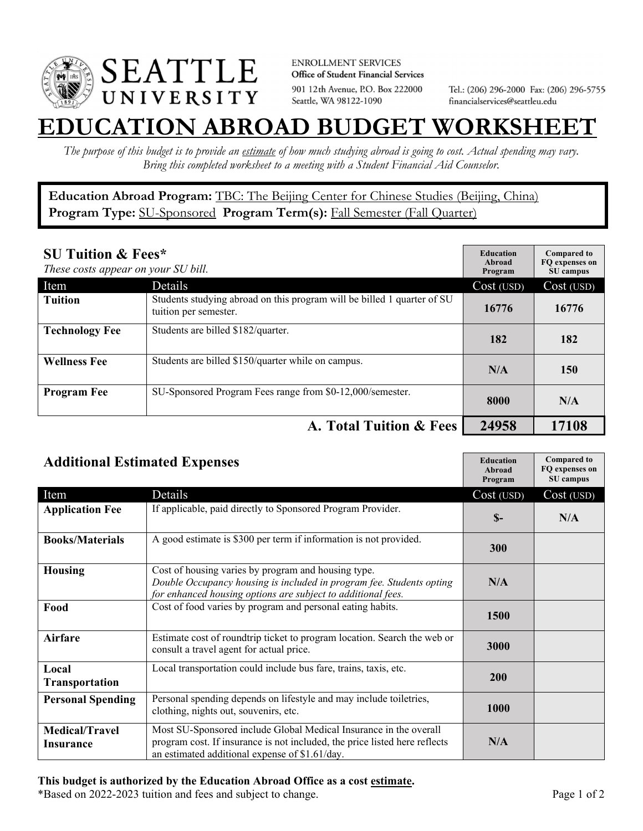

**ENROLLMENT SERVICES** Office of Student Financial Services 901 12th Avenue, P.O. Box 222000 Seattle, WA 98122-1090

Tel.: (206) 296-2000 Fax: (206) 296-5755 financialservices@seattleu.edu

## **EATION ABROAD BUDGET WORKSHEE**

*The purpose of this budget is to provide an estimate of how much studying abroad is going to cost. Actual spending may vary. Bring this completed worksheet to a meeting with a Student Financial Aid Counselor.* 

**Education Abroad Program:** TBC: The Beijing Center for Chinese Studies (Beijing, China) Program Type: **SU-Sponsored** Program Term(s): **Fall Semester (Fall Quarter)** 

| <b>SU Tuition &amp; Fees*</b><br>These costs appear on your SU bill. |                                                                                                  | <b>Education</b><br>Abroad<br>Program | <b>Compared to</b><br>FO expenses on<br>SU campus |
|----------------------------------------------------------------------|--------------------------------------------------------------------------------------------------|---------------------------------------|---------------------------------------------------|
| Item                                                                 | Details                                                                                          | Cost (USD)                            | Cost (USD)                                        |
| <b>Tuition</b>                                                       | Students studying abroad on this program will be billed 1 quarter of SU<br>tuition per semester. | 16776                                 | 16776                                             |
| <b>Technology Fee</b>                                                | Students are billed \$182/quarter.                                                               | 182                                   | 182                                               |
| <b>Wellness Fee</b>                                                  | Students are billed \$150/quarter while on campus.                                               | N/A                                   | 150                                               |
| <b>Program Fee</b>                                                   | SU-Sponsored Program Fees range from \$0-12,000/semester.                                        | 8000                                  | N/A                                               |
|                                                                      | A. Total Tuition & Fees                                                                          | 24958                                 | 17108                                             |

| <b>Additional Estimated Expenses</b> |                                                                                                                                                                                                   | <b>Education</b><br>Abroad<br>Program | <b>Compared to</b><br>FQ expenses on<br>SU campus |
|--------------------------------------|---------------------------------------------------------------------------------------------------------------------------------------------------------------------------------------------------|---------------------------------------|---------------------------------------------------|
| Item                                 | Details                                                                                                                                                                                           | Cost (USD)                            | Cost (USD)                                        |
| <b>Application Fee</b>               | If applicable, paid directly to Sponsored Program Provider.                                                                                                                                       | $S-$                                  | N/A                                               |
| <b>Books/Materials</b>               | A good estimate is \$300 per term if information is not provided.                                                                                                                                 | 300                                   |                                                   |
| <b>Housing</b>                       | Cost of housing varies by program and housing type.<br>Double Occupancy housing is included in program fee. Students opting<br>for enhanced housing options are subject to additional fees.       | N/A                                   |                                                   |
| Food                                 | Cost of food varies by program and personal eating habits.                                                                                                                                        | 1500                                  |                                                   |
| <b>Airfare</b>                       | Estimate cost of roundtrip ticket to program location. Search the web or<br>consult a travel agent for actual price.                                                                              | 3000                                  |                                                   |
| Local<br><b>Transportation</b>       | Local transportation could include bus fare, trains, taxis, etc.                                                                                                                                  | 200                                   |                                                   |
| <b>Personal Spending</b>             | Personal spending depends on lifestyle and may include toiletries,<br>clothing, nights out, souvenirs, etc.                                                                                       | 1000                                  |                                                   |
| <b>Medical/Travel</b><br>Insurance   | Most SU-Sponsored include Global Medical Insurance in the overall<br>program cost. If insurance is not included, the price listed here reflects<br>an estimated additional expense of \$1.61/day. | N/A                                   |                                                   |

## **This budget is authorized by the Education Abroad Office as a cost estimate.**

\*Based on 2022-2023 tuition and fees and subject to change. Page 1 of 2